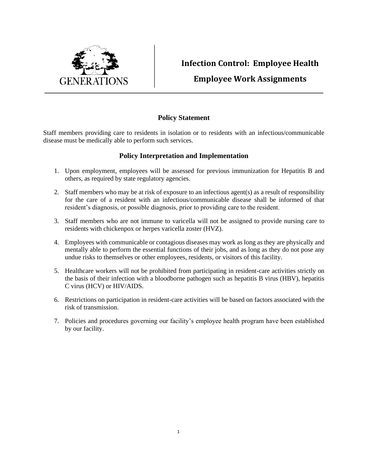

## **Infection Control: Employee Health**

## **Employee Work Assignments**

## **Policy Statement**

Staff members providing care to residents in isolation or to residents with an infectious/communicable disease must be medically able to perform such services.

## **Policy Interpretation and Implementation**

- 1. Upon employment, employees will be assessed for previous immunization for Hepatitis B and others, as required by state regulatory agencies.
- 2. Staff members who may be at risk of exposure to an infectious agent(s) as a result of responsibility for the care of a resident with an infectious/communicable disease shall be informed of that resident's diagnosis, or possible diagnosis, prior to providing care to the resident.
- 3. Staff members who are not immune to varicella will not be assigned to provide nursing care to residents with chickenpox or herpes varicella zoster (HVZ).
- 4. Employees with communicable or contagious diseases may work as long as they are physically and mentally able to perform the essential functions of their jobs, and as long as they do not pose any undue risks to themselves or other employees, residents, or visitors of this facility.
- 5. Healthcare workers will not be prohibited from participating in resident-care activities strictly on the basis of their infection with a bloodborne pathogen such as hepatitis B virus (HBV), hepatitis C virus (HCV) or HIV/AIDS.
- 6. Restrictions on participation in resident-care activities will be based on factors associated with the risk of transmission.
- 7. Policies and procedures governing our facility's employee health program have been established by our facility.